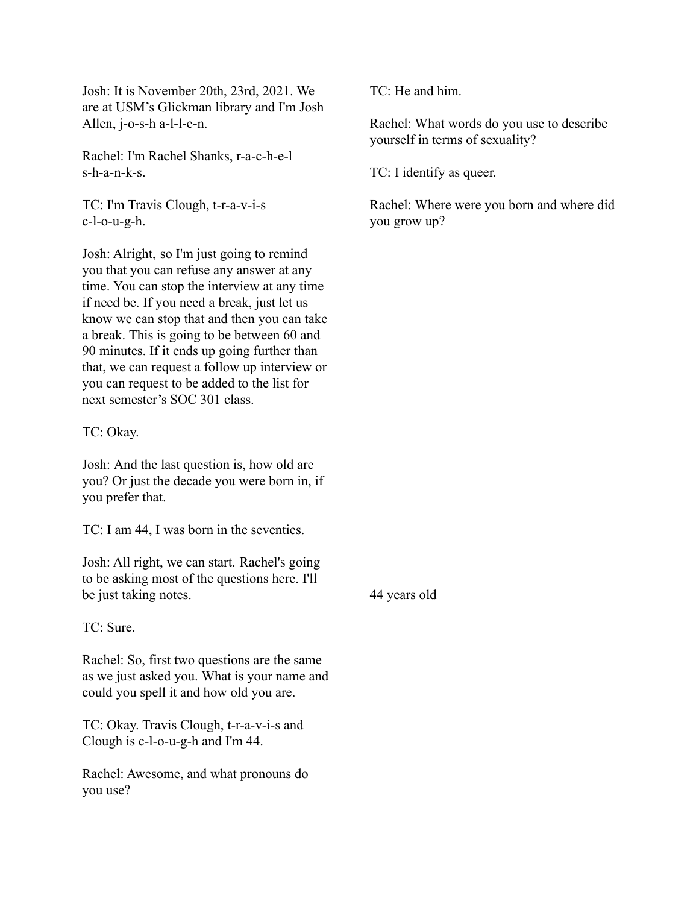Josh: It is November 20th, 23rd, 2021. We are at USM's Glickman library and I'm Josh Allen, j-o-s-h a-l-l-e-n.

Rachel: I'm Rachel Shanks, r-a-c-h-e-l s-h-a-n-k-s.

TC: I'm Travis Clough, t-r-a-v-i-s c-l-o-u-g-h.

Josh: Alright, so I'm just going to remind you that you can refuse any answer at any time. You can stop the interview at any time if need be. If you need a break, just let us know we can stop that and then you can take a break. This is going to be between 60 and 90 minutes. If it ends up going further than that, we can request a follow up interview or you can request to be added to the list for next semester's SOC 301 class.

TC: Okay.

Josh: And the last question is, how old are you? Or just the decade you were born in, if you prefer that.

TC: I am 44, I was born in the seventies.

Josh: All right, we can start. Rachel's going to be asking most of the questions here. I'll be just taking notes.

TC: Sure.

Rachel: So, first two questions are the same as we just asked you. What is your name and could you spell it and how old you are.

TC: Okay. Travis Clough, t-r-a-v-i-s and Clough is c-l-o-u-g-h and I'm 44.

Rachel: Awesome, and what pronouns do you use?

TC: He and him.

Rachel: What words do you use to describe yourself in terms of sexuality?

TC: I identify as queer.

Rachel: Where were you born and where did you grow up?

44 years old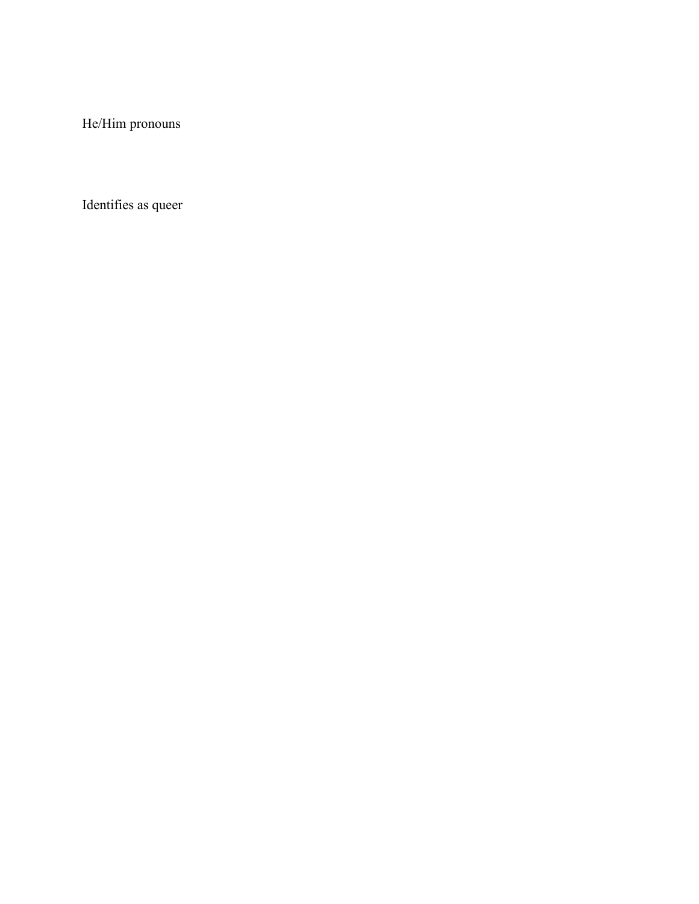He/Him pronouns

Identifies as queer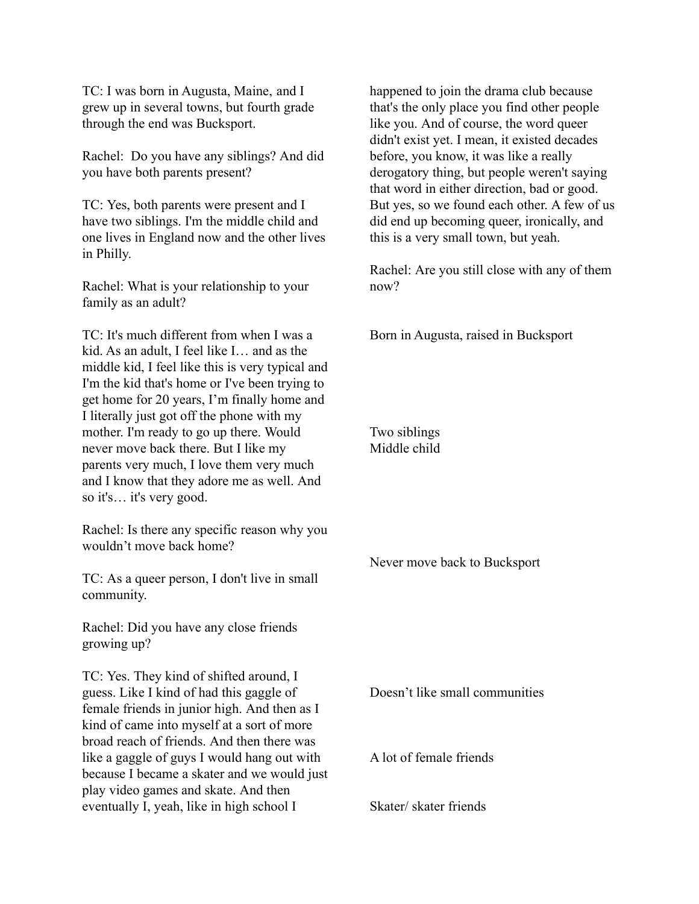TC: I was born in Augusta, Maine, and I grew up in several towns, but fourth grade through the end was Bucksport.

Rachel: Do you have any siblings? And did you have both parents present?

TC: Yes, both parents were present and I have two siblings. I'm the middle child and one lives in England now and the other lives in Philly.

Rachel: What is your relationship to your family as an adult?

TC: It's much different from when I was a kid. As an adult, I feel like I… and as the middle kid, I feel like this is very typical and I'm the kid that's home or I've been trying to get home for 20 years, I'm finally home and I literally just got off the phone with my mother. I'm ready to go up there. Would never move back there. But I like my parents very much, I love them very much and I know that they adore me as well. And so it's… it's very good.

Rachel: Is there any specific reason why you wouldn't move back home?

TC: As a queer person, I don't live in small community.

Rachel: Did you have any close friends growing up?

TC: Yes. They kind of shifted around, I guess. Like I kind of had this gaggle of female friends in junior high. And then as I kind of came into myself at a sort of more broad reach of friends. And then there was like a gaggle of guys I would hang out with because I became a skater and we would just play video games and skate. And then eventually I, yeah, like in high school I

happened to join the drama club because that's the only place you find other people like you. And of course, the word queer didn't exist yet. I mean, it existed decades before, you know, it was like a really derogatory thing, but people weren't saying that word in either direction, bad or good. But yes, so we found each other. A few of us did end up becoming queer, ironically, and this is a very small town, but yeah.

Rachel: Are you still close with any of them now?

Born in Augusta, raised in Bucksport

Two siblings Middle child

Never move back to Bucksport

Doesn't like small communities

A lot of female friends

Skater/ skater friends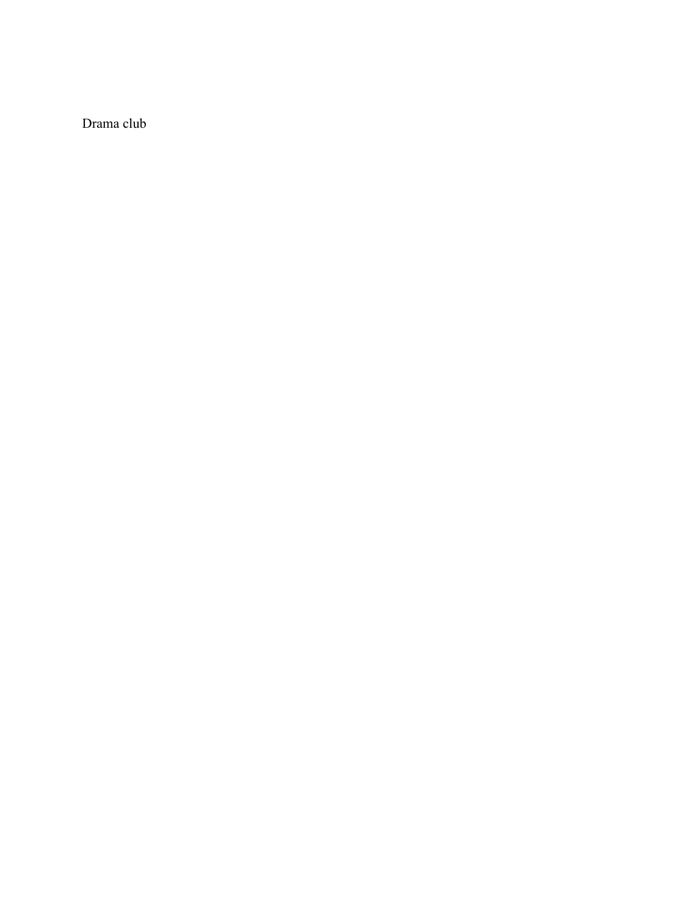Drama club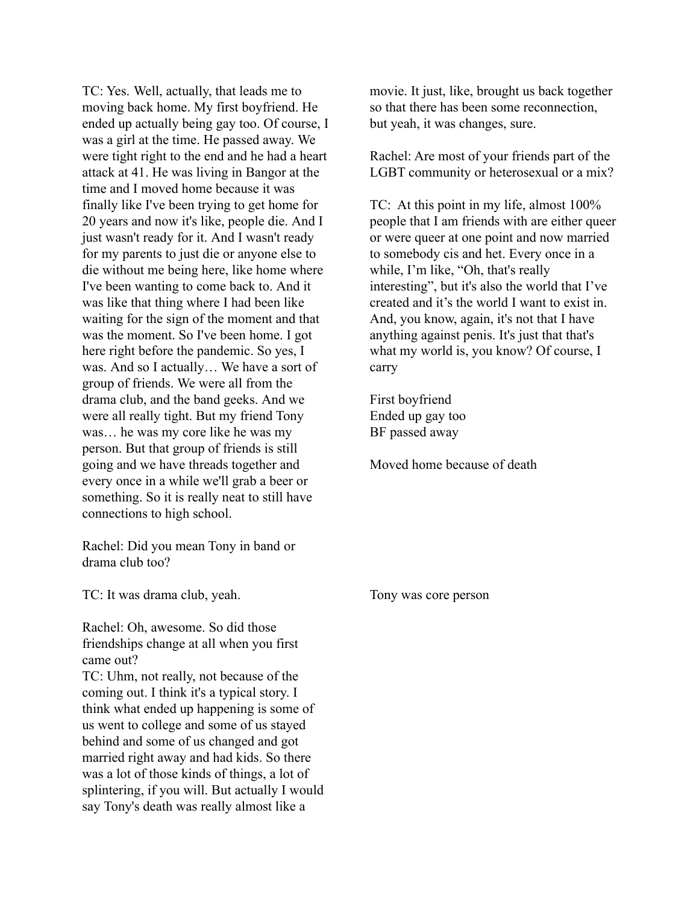TC: Yes. Well, actually, that leads me to moving back home. My first boyfriend. He ended up actually being gay too. Of course, I was a girl at the time. He passed away. We were tight right to the end and he had a heart attack at 41. He was living in Bangor at the time and I moved home because it was finally like I've been trying to get home for 20 years and now it's like, people die. And I just wasn't ready for it. And I wasn't ready for my parents to just die or anyone else to die without me being here, like home where I've been wanting to come back to. And it was like that thing where I had been like waiting for the sign of the moment and that was the moment. So I've been home. I got here right before the pandemic. So yes, I was. And so I actually… We have a sort of group of friends. We were all from the drama club, and the band geeks. And we were all really tight. But my friend Tony was… he was my core like he was my person. But that group of friends is still going and we have threads together and every once in a while we'll grab a beer or something. So it is really neat to still have connections to high school.

Rachel: Did you mean Tony in band or drama club too?

TC: It was drama club, yeah.

Rachel: Oh, awesome. So did those friendships change at all when you first came out?

TC: Uhm, not really, not because of the coming out. I think it's a typical story. I think what ended up happening is some of us went to college and some of us stayed behind and some of us changed and got married right away and had kids. So there was a lot of those kinds of things, a lot of splintering, if you will. But actually I would say Tony's death was really almost like a

movie. It just, like, brought us back together so that there has been some reconnection, but yeah, it was changes, sure.

Rachel: Are most of your friends part of the LGBT community or heterosexual or a mix?

TC: At this point in my life, almost 100% people that I am friends with are either queer or were queer at one point and now married to somebody cis and het. Every once in a while, I'm like, "Oh, that's really interesting", but it's also the world that I've created and it's the world I want to exist in. And, you know, again, it's not that I have anything against penis. It's just that that's what my world is, you know? Of course, I carry

First boyfriend Ended up gay too BF passed away

Moved home because of death

Tony was core person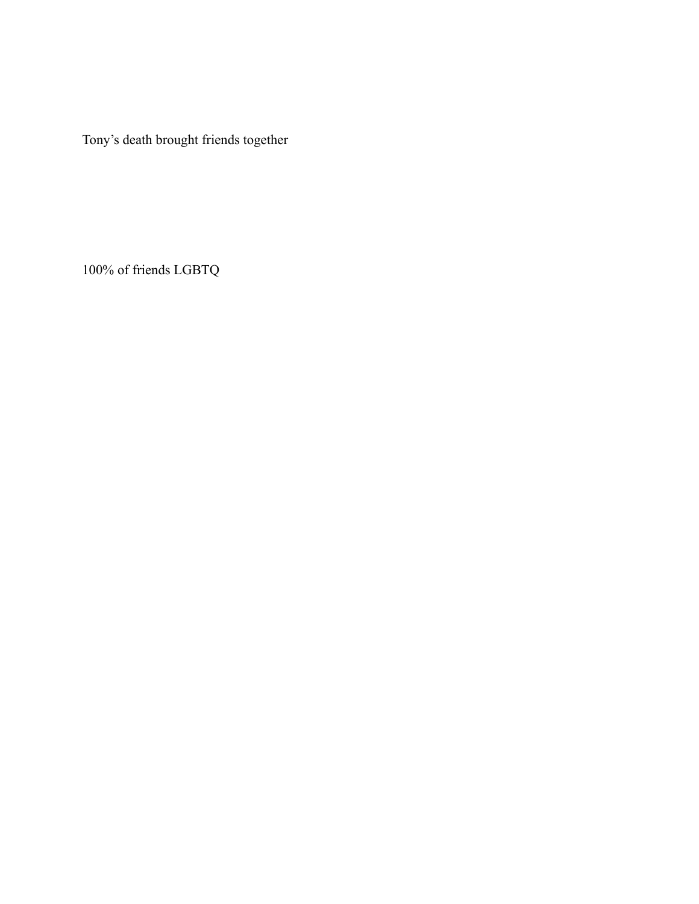Tony's death brought friends together

100% of friends LGBTQ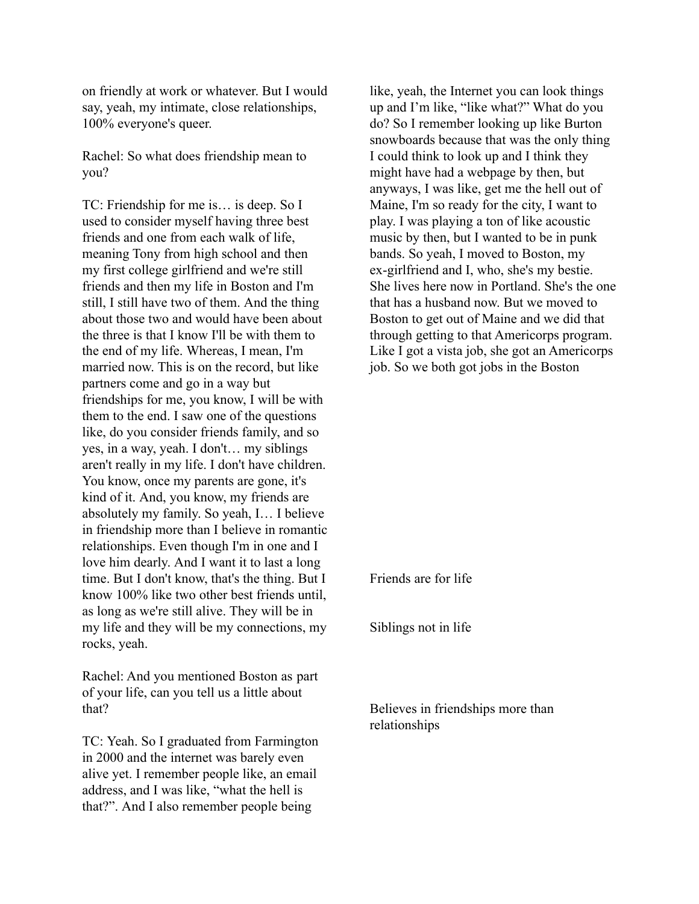on friendly at work or whatever. But I would say, yeah, my intimate, close relationships, 100% everyone's queer.

Rachel: So what does friendship mean to you?

TC: Friendship for me is… is deep. So I used to consider myself having three best friends and one from each walk of life, meaning Tony from high school and then my first college girlfriend and we're still friends and then my life in Boston and I'm still, I still have two of them. And the thing about those two and would have been about the three is that I know I'll be with them to the end of my life. Whereas, I mean, I'm married now. This is on the record, but like partners come and go in a way but friendships for me, you know, I will be with them to the end. I saw one of the questions like, do you consider friends family, and so yes, in a way, yeah. I don't… my siblings aren't really in my life. I don't have children. You know, once my parents are gone, it's kind of it. And, you know, my friends are absolutely my family. So yeah, I… I believe in friendship more than I believe in romantic relationships. Even though I'm in one and I love him dearly. And I want it to last a long time. But I don't know, that's the thing. But I know 100% like two other best friends until, as long as we're still alive. They will be in my life and they will be my connections, my rocks, yeah.

Rachel: And you mentioned Boston as part of your life, can you tell us a little about that?

TC: Yeah. So I graduated from Farmington in 2000 and the internet was barely even alive yet. I remember people like, an email address, and I was like, "what the hell is that?". And I also remember people being

like, yeah, the Internet you can look things up and I'm like, "like what?" What do you do? So I remember looking up like Burton snowboards because that was the only thing I could think to look up and I think they might have had a webpage by then, but anyways, I was like, get me the hell out of Maine, I'm so ready for the city, I want to play. I was playing a ton of like acoustic music by then, but I wanted to be in punk bands. So yeah, I moved to Boston, my ex-girlfriend and I, who, she's my bestie. She lives here now in Portland. She's the one that has a husband now. But we moved to Boston to get out of Maine and we did that through getting to that Americorps program. Like I got a vista job, she got an Americorps job. So we both got jobs in the Boston

Friends are for life

Siblings not in life

Believes in friendships more than relationships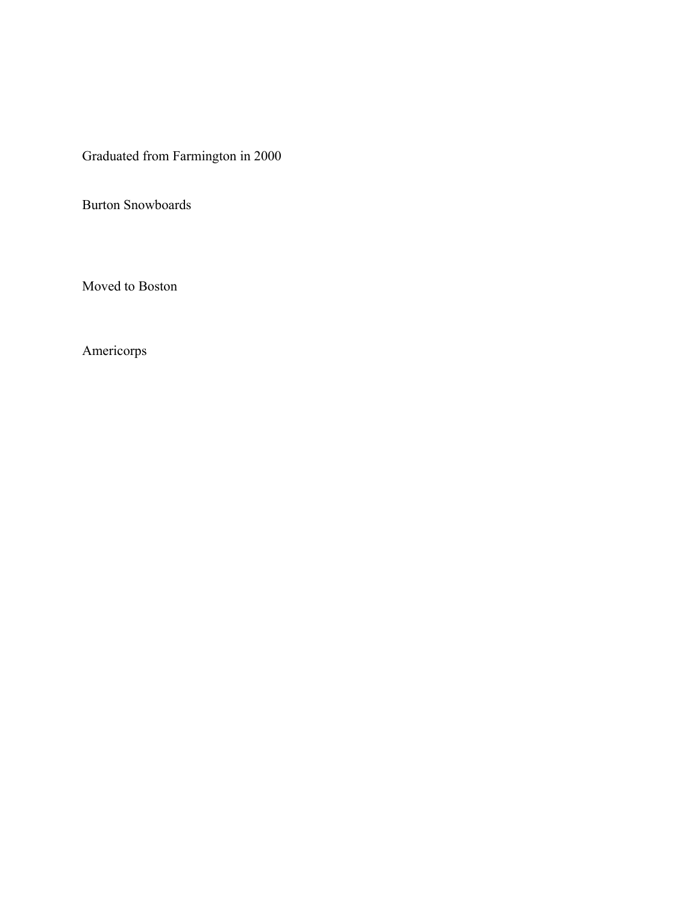Graduated from Farmington in 2000

Burton Snowboards

Moved to Boston

Americorps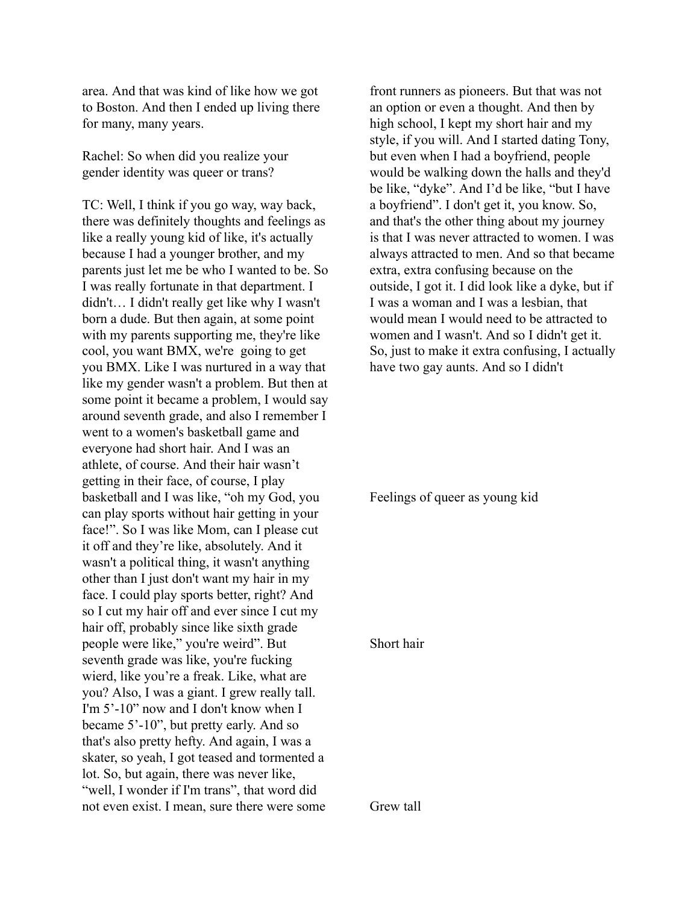area. And that was kind of like how we got to Boston. And then I ended up living there for many, many years.

Rachel: So when did you realize your gender identity was queer or trans?

TC: Well, I think if you go way, way back, there was definitely thoughts and feelings as like a really young kid of like, it's actually because I had a younger brother, and my parents just let me be who I wanted to be. So I was really fortunate in that department. I didn't… I didn't really get like why I wasn't born a dude. But then again, at some point with my parents supporting me, they're like cool, you want BMX, we're going to get you BMX. Like I was nurtured in a way that like my gender wasn't a problem. But then at some point it became a problem, I would say around seventh grade, and also I remember I went to a women's basketball game and everyone had short hair. And I was an athlete, of course. And their hair wasn't getting in their face, of course, I play basketball and I was like, "oh my God, you can play sports without hair getting in your face!". So I was like Mom, can I please cut it off and they're like, absolutely. And it wasn't a political thing, it wasn't anything other than I just don't want my hair in my face. I could play sports better, right? And so I cut my hair off and ever since I cut my hair off, probably since like sixth grade people were like," you're weird". But seventh grade was like, you're fucking wierd, like you're a freak. Like, what are you? Also, I was a giant. I grew really tall. I'm 5'-10" now and I don't know when I became 5'-10", but pretty early. And so that's also pretty hefty. And again, I was a skater, so yeah, I got teased and tormented a lot. So, but again, there was never like, "well, I wonder if I'm trans", that word did not even exist. I mean, sure there were some

front runners as pioneers. But that was not an option or even a thought. And then by high school, I kept my short hair and my style, if you will. And I started dating Tony, but even when I had a boyfriend, people would be walking down the halls and they'd be like, "dyke". And I'd be like, "but I have a boyfriend". I don't get it, you know. So, and that's the other thing about my journey is that I was never attracted to women. I was always attracted to men. And so that became extra, extra confusing because on the outside, I got it. I did look like a dyke, but if I was a woman and I was a lesbian, that would mean I would need to be attracted to women and I wasn't. And so I didn't get it. So, just to make it extra confusing, I actually have two gay aunts. And so I didn't

Feelings of queer as young kid

## Short hair

Grew tall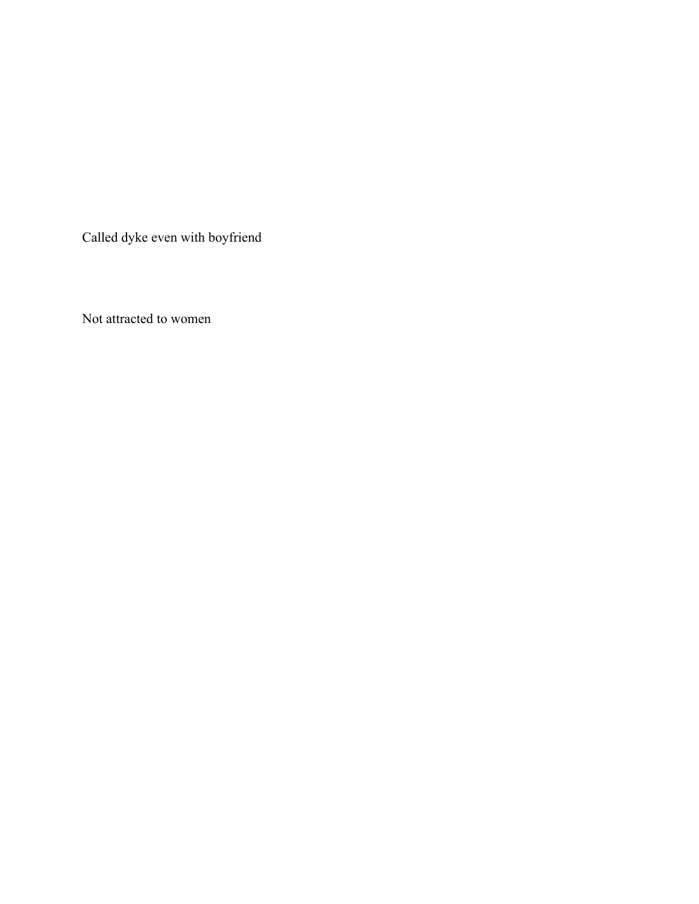Called dyke even with boyfriend

Not attracted to women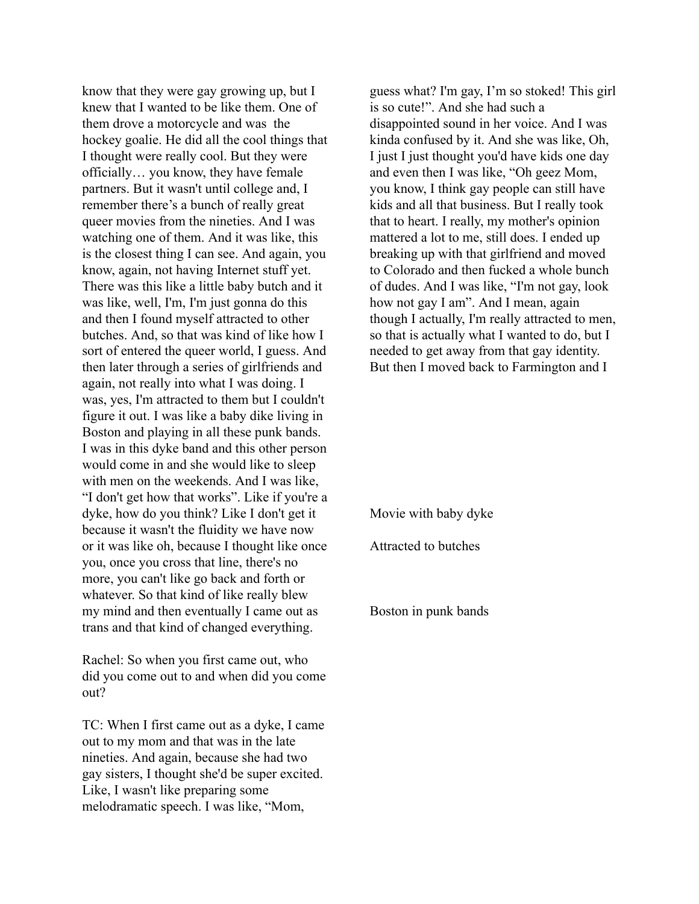know that they were gay growing up, but I knew that I wanted to be like them. One of them drove a motorcycle and was the hockey goalie. He did all the cool things that I thought were really cool. But they were officially… you know, they have female partners. But it wasn't until college and, I remember there's a bunch of really great queer movies from the nineties. And I was watching one of them. And it was like, this is the closest thing I can see. And again, you know, again, not having Internet stuff yet. There was this like a little baby butch and it was like, well, I'm, I'm just gonna do this and then I found myself attracted to other butches. And, so that was kind of like how I sort of entered the queer world, I guess. And then later through a series of girlfriends and again, not really into what I was doing. I was, yes, I'm attracted to them but I couldn't figure it out. I was like a baby dike living in Boston and playing in all these punk bands. I was in this dyke band and this other person would come in and she would like to sleep with men on the weekends. And I was like, "I don't get how that works". Like if you're a dyke, how do you think? Like I don't get it because it wasn't the fluidity we have now or it was like oh, because I thought like once you, once you cross that line, there's no more, you can't like go back and forth or whatever. So that kind of like really blew my mind and then eventually I came out as trans and that kind of changed everything.

Rachel: So when you first came out, who did you come out to and when did you come out?

TC: When I first came out as a dyke, I came out to my mom and that was in the late nineties. And again, because she had two gay sisters, I thought she'd be super excited. Like, I wasn't like preparing some melodramatic speech. I was like, "Mom,

guess what? I'm gay, I'm so stoked! This girl is so cute!". And she had such a disappointed sound in her voice. And I was kinda confused by it. And she was like, Oh, I just I just thought you'd have kids one day and even then I was like, "Oh geez Mom, you know, I think gay people can still have kids and all that business. But I really took that to heart. I really, my mother's opinion mattered a lot to me, still does. I ended up breaking up with that girlfriend and moved to Colorado and then fucked a whole bunch of dudes. And I was like, "I'm not gay, look how not gay I am". And I mean, again though I actually, I'm really attracted to men, so that is actually what I wanted to do, but I needed to get away from that gay identity. But then I moved back to Farmington and I

Movie with baby dyke

Attracted to butches

Boston in punk bands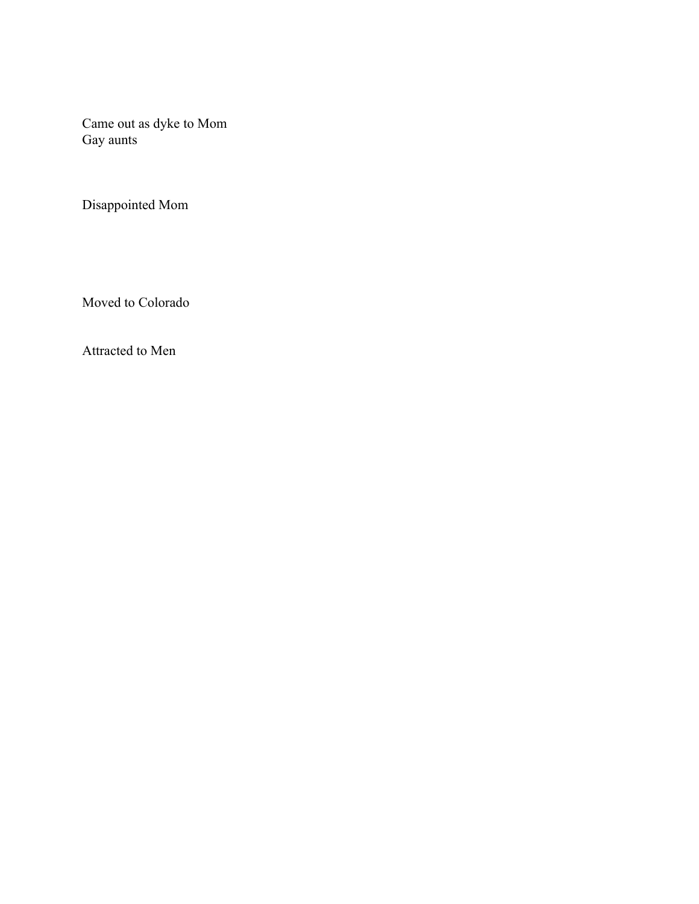Came out as dyke to Mom Gay aunts

Disappointed Mom

Moved to Colorado

Attracted to Men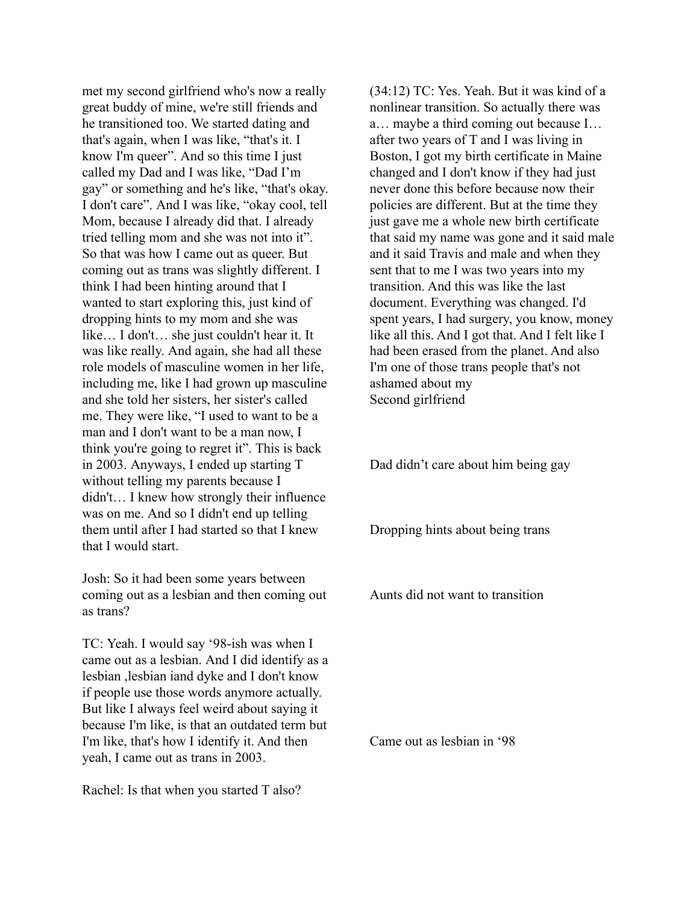met my second girlfriend who's now a really great buddy of mine, we're still friends and he transitioned too. We started dating and that's again, when I was like, "that's it. I know I'm queer". And so this time I just called my Dad and I was like, "Dad I'm gay" or something and he's like, "that's okay. I don't care". And I was like, "okay cool, tell Mom, because I already did that. I already tried telling mom and she was not into it". So that was how I came out as queer. But coming out as trans was slightly different. I think I had been hinting around that I wanted to start exploring this, just kind of dropping hints to my mom and she was like… I don't… she just couldn't hear it. It was like really. And again, she had all these role models of masculine women in her life, including me, like I had grown up masculine and she told her sisters, her sister's called me. They were like, "I used to want to be a man and I don't want to be a man now, I think you're going to regret it". This is back in 2003. Anyways, I ended up starting T without telling my parents because I didn't… I knew how strongly their influence was on me. And so I didn't end up telling them until after I had started so that I knew that I would start.

Josh: So it had been some years between coming out as a lesbian and then coming out as trans?

TC: Yeah. I would say '98-ish was when I came out as a lesbian. And I did identify as a lesbian ,lesbian iand dyke and I don't know if people use those words anymore actually. But like I always feel weird about saying it because I'm like, is that an outdated term but I'm like, that's how I identify it. And then yeah, I came out as trans in 2003.

Rachel: Is that when you started T also?

(34:12) TC: Yes. Yeah. But it was kind of a nonlinear transition. So actually there was a… maybe a third coming out because I… after two years of T and I was living in Boston, I got my birth certificate in Maine changed and I don't know if they had just never done this before because now their policies are different. But at the time they just gave me a whole new birth certificate that said my name was gone and it said male and it said Travis and male and when they sent that to me I was two years into my transition. And this was like the last document. Everything was changed. I'd spent years, I had surgery, you know, money like all this. And I got that. And I felt like I had been erased from the planet. And also I'm one of those trans people that's not ashamed about my Second girlfriend

Dad didn't care about him being gay

Dropping hints about being trans

Aunts did not want to transition

Came out as lesbian in '98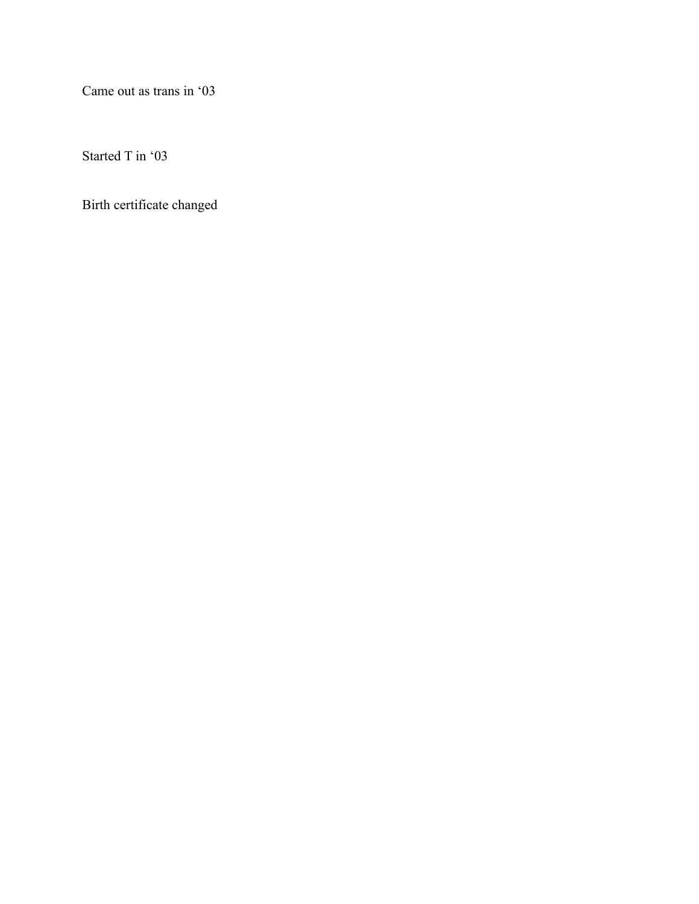Came out as trans in '03

Started T in '03

Birth certificate changed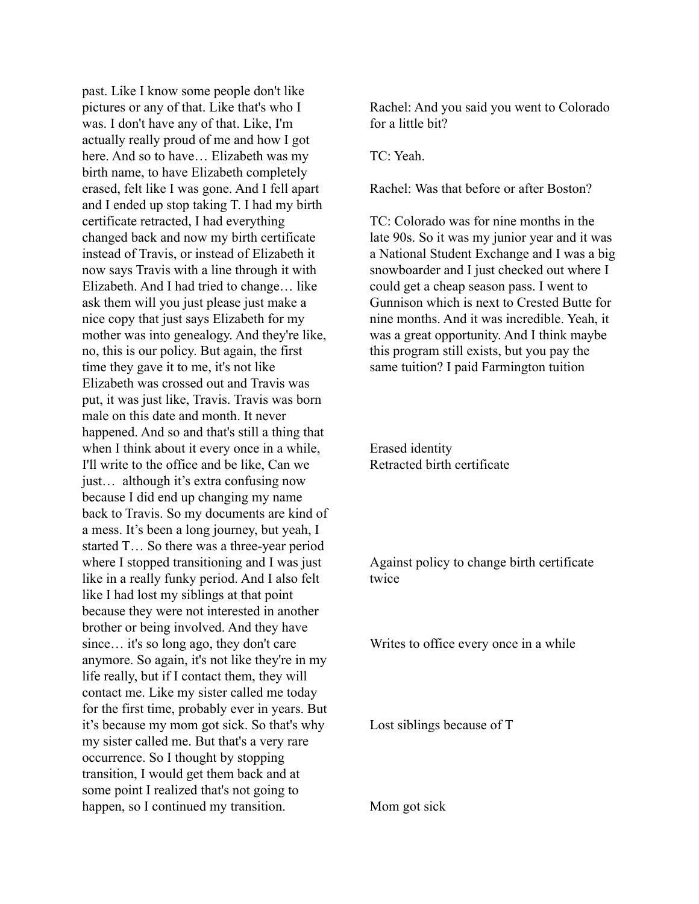past. Like I know some people don't like pictures or any of that. Like that's who I was. I don't have any of that. Like, I'm actually really proud of me and how I got here. And so to have… Elizabeth was my birth name, to have Elizabeth completely erased, felt like I was gone. And I fell apart and I ended up stop taking T. I had my birth certificate retracted, I had everything changed back and now my birth certificate instead of Travis, or instead of Elizabeth it now says Travis with a line through it with Elizabeth. And I had tried to change… like ask them will you just please just make a nice copy that just says Elizabeth for my mother was into genealogy. And they're like, no, this is our policy. But again, the first time they gave it to me, it's not like Elizabeth was crossed out and Travis was put, it was just like, Travis. Travis was born male on this date and month. It never happened. And so and that's still a thing that when I think about it every once in a while, I'll write to the office and be like, Can we just… although it's extra confusing now because I did end up changing my name back to Travis. So my documents are kind of a mess. It's been a long journey, but yeah, I started T… So there was a three-year period where I stopped transitioning and I was just like in a really funky period. And I also felt like I had lost my siblings at that point because they were not interested in another brother or being involved. And they have since… it's so long ago, they don't care anymore. So again, it's not like they're in my life really, but if I contact them, they will contact me. Like my sister called me today for the first time, probably ever in years. But it's because my mom got sick. So that's why my sister called me. But that's a very rare occurrence. So I thought by stopping transition, I would get them back and at some point I realized that's not going to happen, so I continued my transition.

Rachel: And you said you went to Colorado for a little bit?

TC: Yeah.

Rachel: Was that before or after Boston?

TC: Colorado was for nine months in the late 90s. So it was my junior year and it was a National Student Exchange and I was a big snowboarder and I just checked out where I could get a cheap season pass. I went to Gunnison which is next to Crested Butte for nine months. And it was incredible. Yeah, it was a great opportunity. And I think maybe this program still exists, but you pay the same tuition? I paid Farmington tuition

Erased identity Retracted birth certificate

Against policy to change birth certificate twice

Writes to office every once in a while

Lost siblings because of T

Mom got sick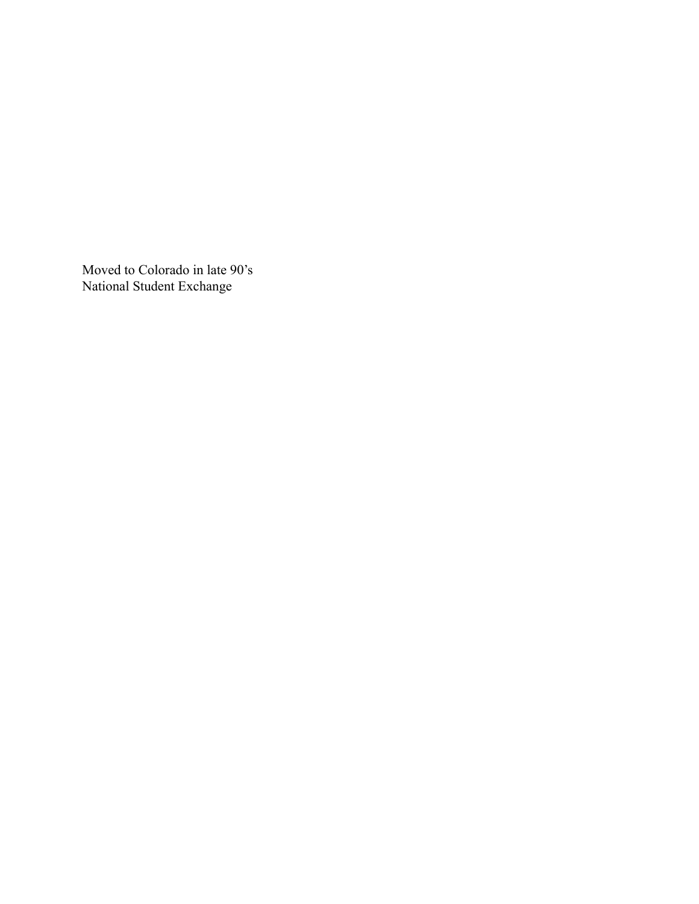Moved to Colorado in late 90's National Student Exchange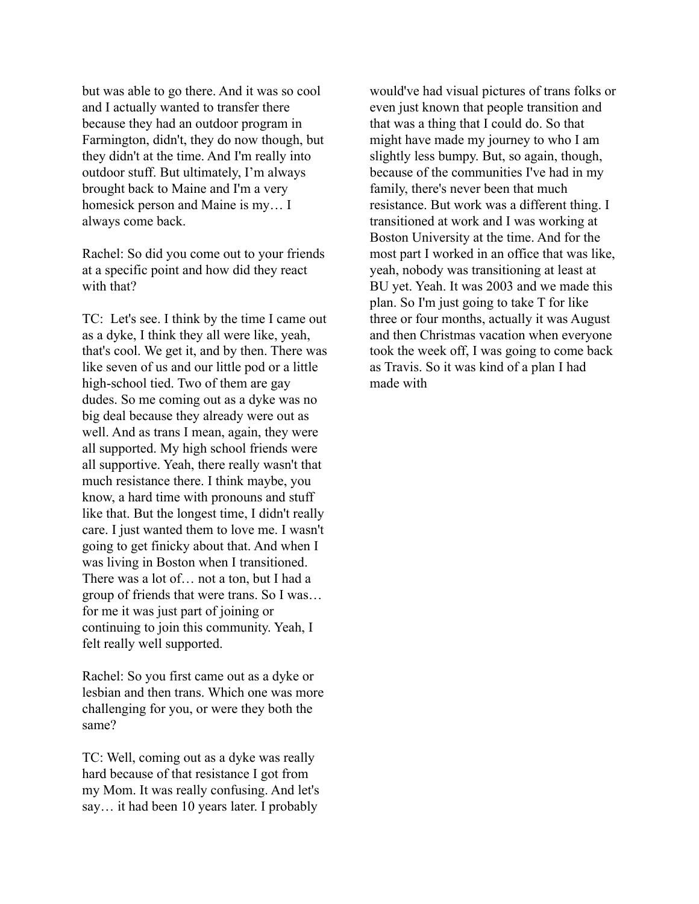but was able to go there. And it was so cool and I actually wanted to transfer there because they had an outdoor program in Farmington, didn't, they do now though, but they didn't at the time. And I'm really into outdoor stuff. But ultimately, I'm always brought back to Maine and I'm a very homesick person and Maine is my… I always come back.

Rachel: So did you come out to your friends at a specific point and how did they react with that?

TC: Let's see. I think by the time I came out as a dyke, I think they all were like, yeah, that's cool. We get it, and by then. There was like seven of us and our little pod or a little high-school tied. Two of them are gay dudes. So me coming out as a dyke was no big deal because they already were out as well. And as trans I mean, again, they were all supported. My high school friends were all supportive. Yeah, there really wasn't that much resistance there. I think maybe, you know, a hard time with pronouns and stuff like that. But the longest time, I didn't really care. I just wanted them to love me. I wasn't going to get finicky about that. And when I was living in Boston when I transitioned. There was a lot of… not a ton, but I had a group of friends that were trans. So I was… for me it was just part of joining or continuing to join this community. Yeah, I felt really well supported.

Rachel: So you first came out as a dyke or lesbian and then trans. Which one was more challenging for you, or were they both the same?

TC: Well, coming out as a dyke was really hard because of that resistance I got from my Mom. It was really confusing. And let's say… it had been 10 years later. I probably

would've had visual pictures of trans folks or even just known that people transition and that was a thing that I could do. So that might have made my journey to who I am slightly less bumpy. But, so again, though, because of the communities I've had in my family, there's never been that much resistance. But work was a different thing. I transitioned at work and I was working at Boston University at the time. And for the most part I worked in an office that was like, yeah, nobody was transitioning at least at BU yet. Yeah. It was 2003 and we made this plan. So I'm just going to take T for like three or four months, actually it was August and then Christmas vacation when everyone took the week off, I was going to come back as Travis. So it was kind of a plan I had made with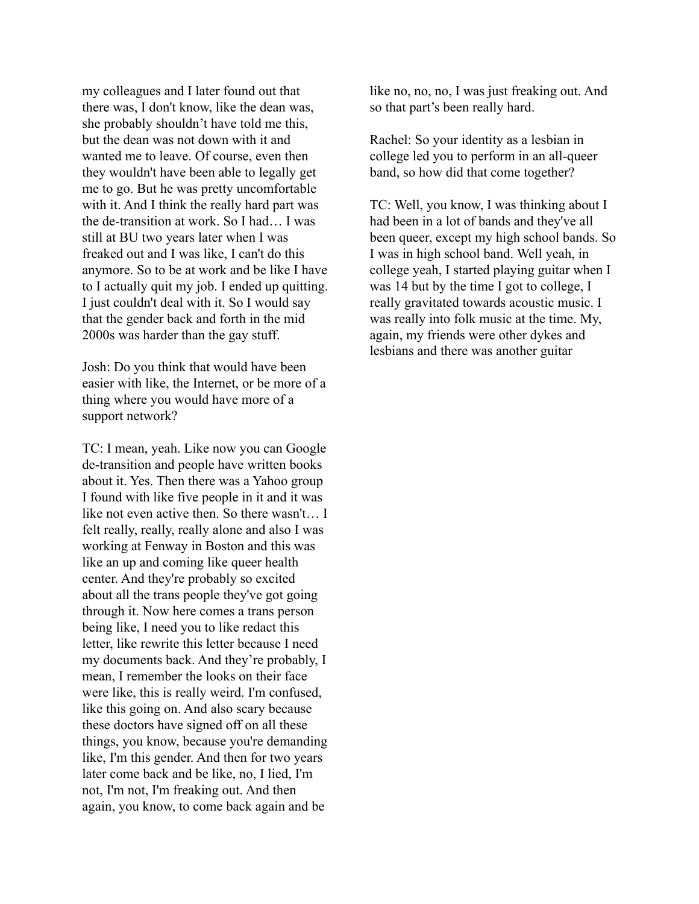my colleagues and I later found out that there was, I don't know, like the dean was, she probably shouldn't have told me this, but the dean was not down with it and wanted me to leave. Of course, even then they wouldn't have been able to legally get me to go. But he was pretty uncomfortable with it. And I think the really hard part was the de-transition at work. So I had… I was still at BU two years later when I was freaked out and I was like, I can't do this anymore. So to be at work and be like I have to I actually quit my job. I ended up quitting. I just couldn't deal with it. So I would say that the gender back and forth in the mid 2000s was harder than the gay stuff.

Josh: Do you think that would have been easier with like, the Internet, or be more of a thing where you would have more of a support network?

TC: I mean, yeah. Like now you can Google de-transition and people have written books about it. Yes. Then there was a Yahoo group I found with like five people in it and it was like not even active then. So there wasn't… I felt really, really, really alone and also I was working at Fenway in Boston and this was like an up and coming like queer health center. And they're probably so excited about all the trans people they've got going through it. Now here comes a trans person being like, I need you to like redact this letter, like rewrite this letter because I need my documents back. And they're probably, I mean, I remember the looks on their face were like, this is really weird. I'm confused, like this going on. And also scary because these doctors have signed off on all these things, you know, because you're demanding like, I'm this gender. And then for two years later come back and be like, no, I lied, I'm not, I'm not, I'm freaking out. And then again, you know, to come back again and be

like no, no, no, I was just freaking out. And so that part's been really hard.

Rachel: So your identity as a lesbian in college led you to perform in an all-queer band, so how did that come together?

TC: Well, you know, I was thinking about I had been in a lot of bands and they've all been queer, except my high school bands. So I was in high school band. Well yeah, in college yeah, I started playing guitar when I was 14 but by the time I got to college, I really gravitated towards acoustic music. I was really into folk music at the time. My, again, my friends were other dykes and lesbians and there was another guitar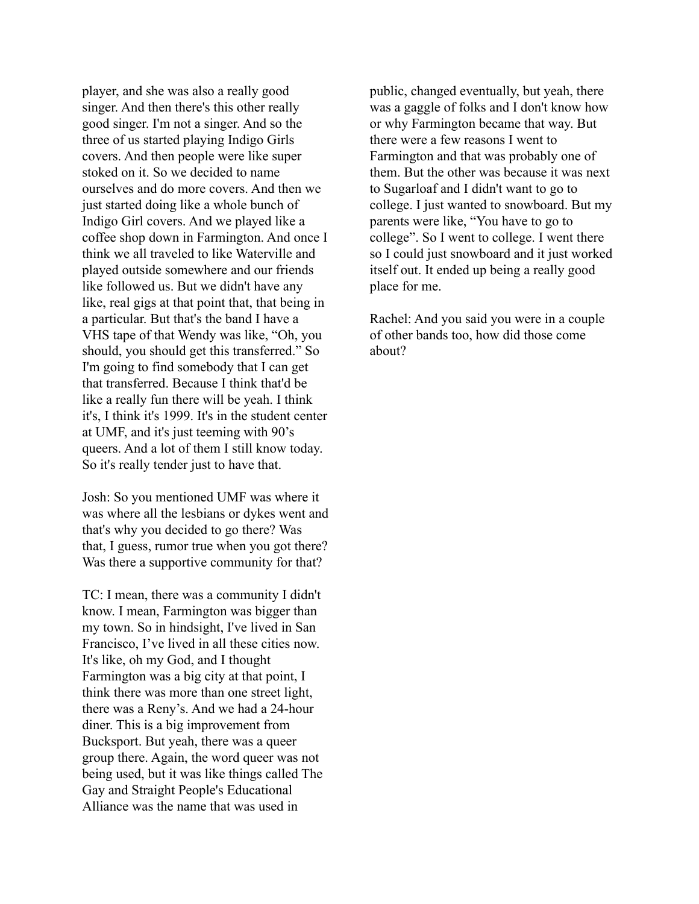player, and she was also a really good singer. And then there's this other really good singer. I'm not a singer. And so the three of us started playing Indigo Girls covers. And then people were like super stoked on it. So we decided to name ourselves and do more covers. And then we just started doing like a whole bunch of Indigo Girl covers. And we played like a coffee shop down in Farmington. And once I think we all traveled to like Waterville and played outside somewhere and our friends like followed us. But we didn't have any like, real gigs at that point that, that being in a particular. But that's the band I have a VHS tape of that Wendy was like, "Oh, you should, you should get this transferred." So I'm going to find somebody that I can get that transferred. Because I think that'd be like a really fun there will be yeah. I think it's, I think it's 1999. It's in the student center at UMF, and it's just teeming with 90's queers. And a lot of them I still know today. So it's really tender just to have that.

Josh: So you mentioned UMF was where it was where all the lesbians or dykes went and that's why you decided to go there? Was that, I guess, rumor true when you got there? Was there a supportive community for that?

TC: I mean, there was a community I didn't know. I mean, Farmington was bigger than my town. So in hindsight, I've lived in San Francisco, I've lived in all these cities now. It's like, oh my God, and I thought Farmington was a big city at that point, I think there was more than one street light, there was a Reny's. And we had a 24-hour diner. This is a big improvement from Bucksport. But yeah, there was a queer group there. Again, the word queer was not being used, but it was like things called The Gay and Straight People's Educational Alliance was the name that was used in

public, changed eventually, but yeah, there was a gaggle of folks and I don't know how or why Farmington became that way. But there were a few reasons I went to Farmington and that was probably one of them. But the other was because it was next to Sugarloaf and I didn't want to go to college. I just wanted to snowboard. But my parents were like, "You have to go to college". So I went to college. I went there so I could just snowboard and it just worked itself out. It ended up being a really good place for me.

Rachel: And you said you were in a couple of other bands too, how did those come about?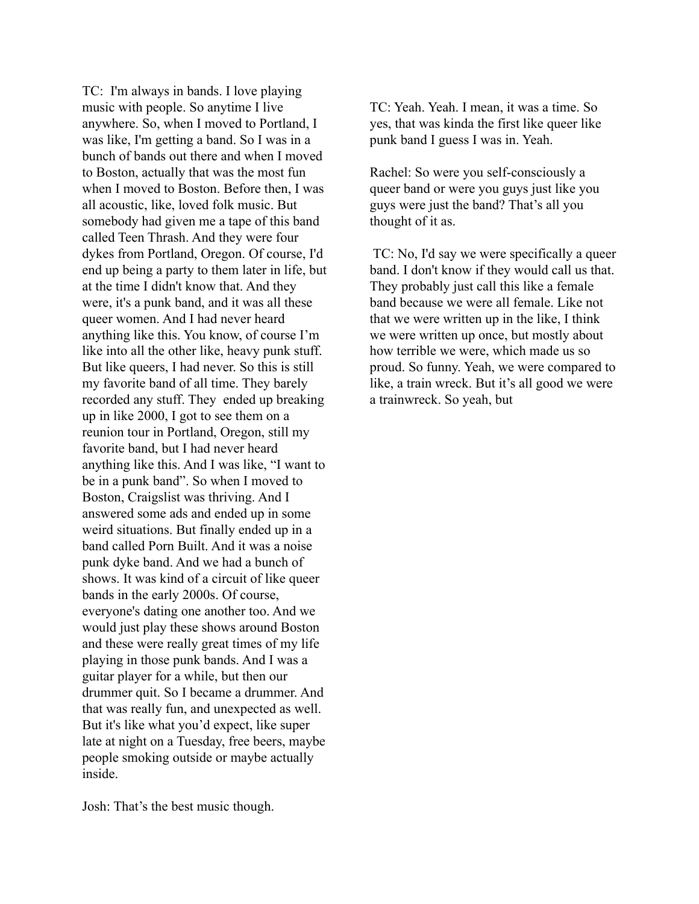TC: I'm always in bands. I love playing music with people. So anytime I live anywhere. So, when I moved to Portland, I was like, I'm getting a band. So I was in a bunch of bands out there and when I moved to Boston, actually that was the most fun when I moved to Boston. Before then, I was all acoustic, like, loved folk music. But somebody had given me a tape of this band called Teen Thrash. And they were four dykes from Portland, Oregon. Of course, I'd end up being a party to them later in life, but at the time I didn't know that. And they were, it's a punk band, and it was all these queer women. And I had never heard anything like this. You know, of course I'm like into all the other like, heavy punk stuff. But like queers, I had never. So this is still my favorite band of all time. They barely recorded any stuff. They ended up breaking up in like 2000, I got to see them on a reunion tour in Portland, Oregon, still my favorite band, but I had never heard anything like this. And I was like, "I want to be in a punk band". So when I moved to Boston, Craigslist was thriving. And I answered some ads and ended up in some weird situations. But finally ended up in a band called Porn Built. And it was a noise punk dyke band. And we had a bunch of shows. It was kind of a circuit of like queer bands in the early 2000s. Of course, everyone's dating one another too. And we would just play these shows around Boston and these were really great times of my life playing in those punk bands. And I was a guitar player for a while, but then our drummer quit. So I became a drummer. And that was really fun, and unexpected as well. But it's like what you'd expect, like super late at night on a Tuesday, free beers, maybe people smoking outside or maybe actually inside.

Josh: That's the best music though.

TC: Yeah. Yeah. I mean, it was a time. So yes, that was kinda the first like queer like punk band I guess I was in. Yeah.

Rachel: So were you self-consciously a queer band or were you guys just like you guys were just the band? That's all you thought of it as.

TC: No, I'd say we were specifically a queer band. I don't know if they would call us that. They probably just call this like a female band because we were all female. Like not that we were written up in the like, I think we were written up once, but mostly about how terrible we were, which made us so proud. So funny. Yeah, we were compared to like, a train wreck. But it's all good we were a trainwreck. So yeah, but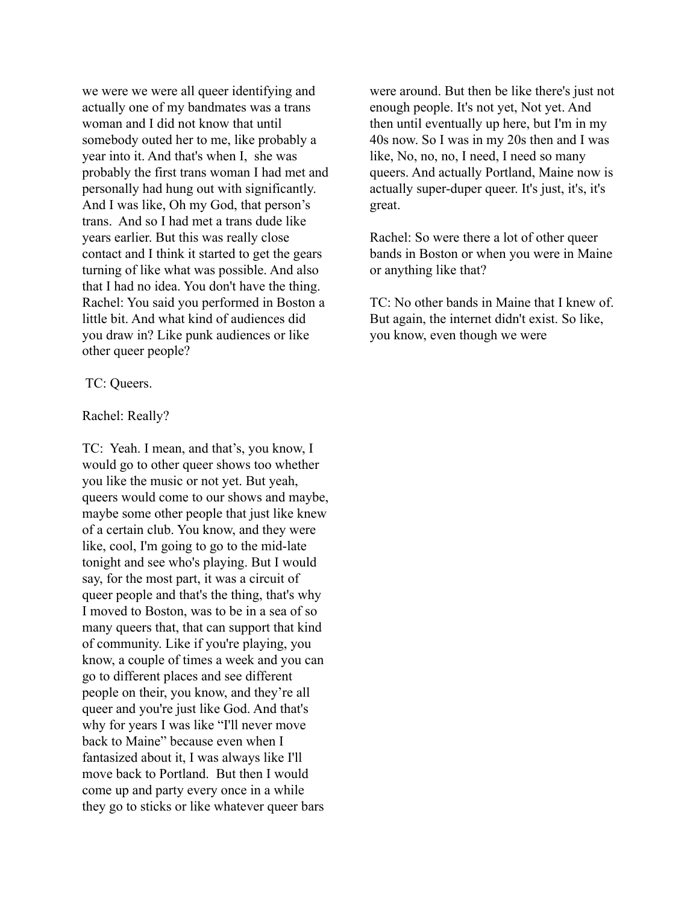we were we were all queer identifying and actually one of my bandmates was a trans woman and I did not know that until somebody outed her to me, like probably a year into it. And that's when I, she was probably the first trans woman I had met and personally had hung out with significantly. And I was like, Oh my God, that person's trans. And so I had met a trans dude like years earlier. But this was really close contact and I think it started to get the gears turning of like what was possible. And also that I had no idea. You don't have the thing. Rachel: You said you performed in Boston a little bit. And what kind of audiences did you draw in? Like punk audiences or like other queer people?

TC: Queers.

Rachel: Really?

TC: Yeah. I mean, and that's, you know, I would go to other queer shows too whether you like the music or not yet. But yeah, queers would come to our shows and maybe, maybe some other people that just like knew of a certain club. You know, and they were like, cool, I'm going to go to the mid-late tonight and see who's playing. But I would say, for the most part, it was a circuit of queer people and that's the thing, that's why I moved to Boston, was to be in a sea of so many queers that, that can support that kind of community. Like if you're playing, you know, a couple of times a week and you can go to different places and see different people on their, you know, and they're all queer and you're just like God. And that's why for years I was like "I'll never move" back to Maine" because even when I fantasized about it, I was always like I'll move back to Portland. But then I would come up and party every once in a while they go to sticks or like whatever queer bars

were around. But then be like there's just not enough people. It's not yet, Not yet. And then until eventually up here, but I'm in my 40s now. So I was in my 20s then and I was like, No, no, no, I need, I need so many queers. And actually Portland, Maine now is actually super-duper queer. It's just, it's, it's great.

Rachel: So were there a lot of other queer bands in Boston or when you were in Maine or anything like that?

TC: No other bands in Maine that I knew of. But again, the internet didn't exist. So like, you know, even though we were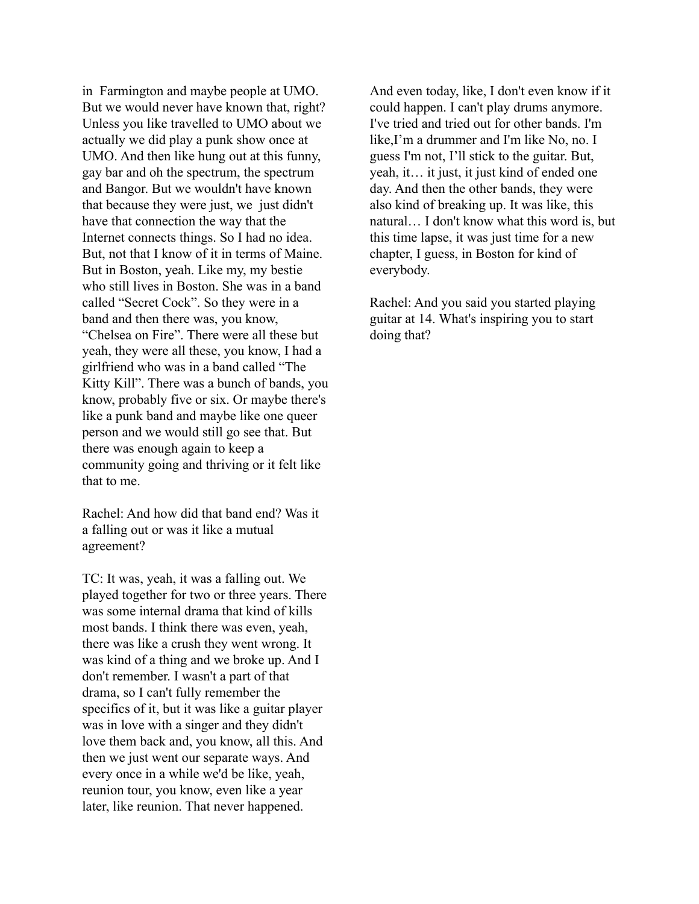in Farmington and maybe people at UMO. But we would never have known that, right? Unless you like travelled to UMO about we actually we did play a punk show once at UMO. And then like hung out at this funny, gay bar and oh the spectrum, the spectrum and Bangor. But we wouldn't have known that because they were just, we just didn't have that connection the way that the Internet connects things. So I had no idea. But, not that I know of it in terms of Maine. But in Boston, yeah. Like my, my bestie who still lives in Boston. She was in a band called "Secret Cock". So they were in a band and then there was, you know, "Chelsea on Fire". There were all these but yeah, they were all these, you know, I had a girlfriend who was in a band called "The Kitty Kill". There was a bunch of bands, you know, probably five or six. Or maybe there's like a punk band and maybe like one queer person and we would still go see that. But there was enough again to keep a community going and thriving or it felt like that to me.

Rachel: And how did that band end? Was it a falling out or was it like a mutual agreement?

TC: It was, yeah, it was a falling out. We played together for two or three years. There was some internal drama that kind of kills most bands. I think there was even, yeah, there was like a crush they went wrong. It was kind of a thing and we broke up. And I don't remember. I wasn't a part of that drama, so I can't fully remember the specifics of it, but it was like a guitar player was in love with a singer and they didn't love them back and, you know, all this. And then we just went our separate ways. And every once in a while we'd be like, yeah, reunion tour, you know, even like a year later, like reunion. That never happened.

And even today, like, I don't even know if it could happen. I can't play drums anymore. I've tried and tried out for other bands. I'm like,I'm a drummer and I'm like No, no. I guess I'm not, I'll stick to the guitar. But, yeah, it… it just, it just kind of ended one day. And then the other bands, they were also kind of breaking up. It was like, this natural… I don't know what this word is, but this time lapse, it was just time for a new chapter, I guess, in Boston for kind of everybody.

Rachel: And you said you started playing guitar at 14. What's inspiring you to start doing that?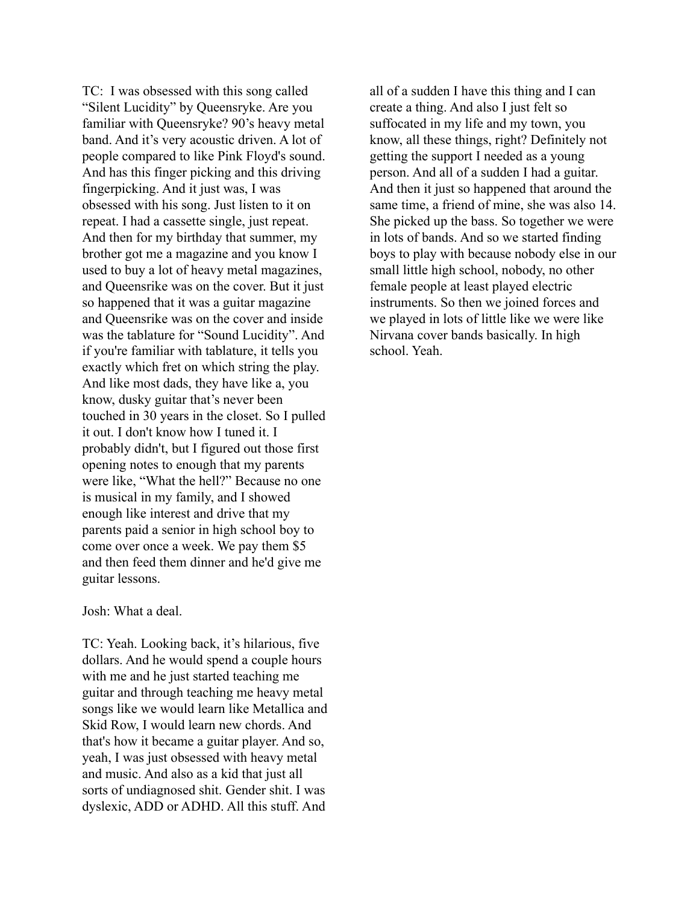TC: I was obsessed with this song called "Silent Lucidity" by Queensryke. Are you familiar with Queensryke? 90's heavy metal band. And it's very acoustic driven. A lot of people compared to like Pink Floyd's sound. And has this finger picking and this driving fingerpicking. And it just was, I was obsessed with his song. Just listen to it on repeat. I had a cassette single, just repeat. And then for my birthday that summer, my brother got me a magazine and you know I used to buy a lot of heavy metal magazines, and Queensrike was on the cover. But it just so happened that it was a guitar magazine and Queensrike was on the cover and inside was the tablature for "Sound Lucidity". And if you're familiar with tablature, it tells you exactly which fret on which string the play. And like most dads, they have like a, you know, dusky guitar that's never been touched in 30 years in the closet. So I pulled it out. I don't know how I tuned it. I probably didn't, but I figured out those first opening notes to enough that my parents were like, "What the hell?" Because no one is musical in my family, and I showed enough like interest and drive that my parents paid a senior in high school boy to come over once a week. We pay them \$5 and then feed them dinner and he'd give me guitar lessons.

## Josh: What a deal.

TC: Yeah. Looking back, it's hilarious, five dollars. And he would spend a couple hours with me and he just started teaching me guitar and through teaching me heavy metal songs like we would learn like Metallica and Skid Row, I would learn new chords. And that's how it became a guitar player. And so, yeah, I was just obsessed with heavy metal and music. And also as a kid that just all sorts of undiagnosed shit. Gender shit. I was dyslexic, ADD or ADHD. All this stuff. And

all of a sudden I have this thing and I can create a thing. And also I just felt so suffocated in my life and my town, you know, all these things, right? Definitely not getting the support I needed as a young person. And all of a sudden I had a guitar. And then it just so happened that around the same time, a friend of mine, she was also 14. She picked up the bass. So together we were in lots of bands. And so we started finding boys to play with because nobody else in our small little high school, nobody, no other female people at least played electric instruments. So then we joined forces and we played in lots of little like we were like Nirvana cover bands basically. In high school. Yeah.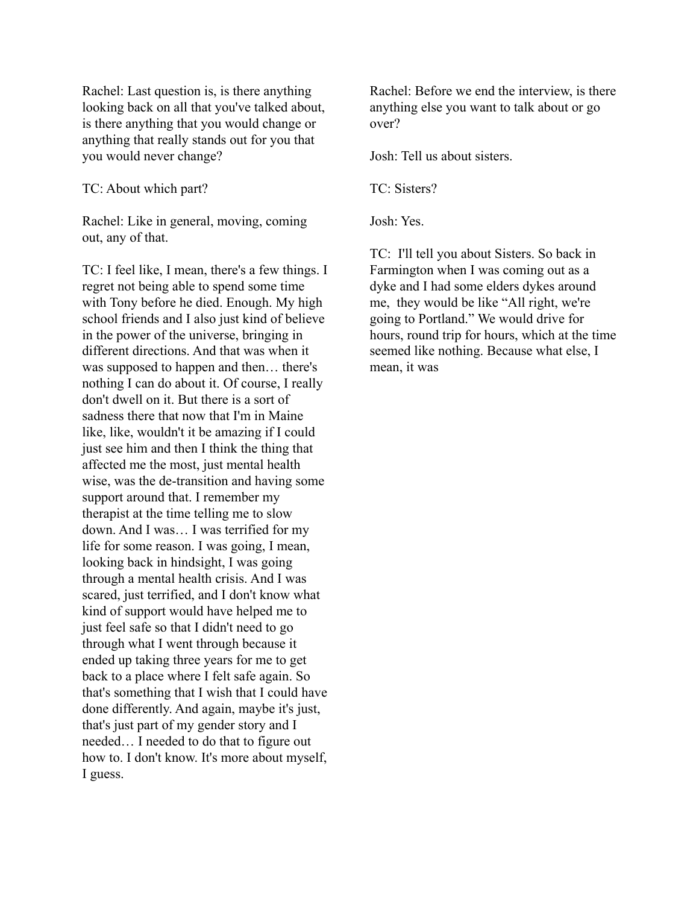Rachel: Last question is, is there anything looking back on all that you've talked about, is there anything that you would change or anything that really stands out for you that you would never change?

TC: About which part?

Rachel: Like in general, moving, coming out, any of that.

TC: I feel like, I mean, there's a few things. I regret not being able to spend some time with Tony before he died. Enough. My high school friends and I also just kind of believe in the power of the universe, bringing in different directions. And that was when it was supposed to happen and then… there's nothing I can do about it. Of course, I really don't dwell on it. But there is a sort of sadness there that now that I'm in Maine like, like, wouldn't it be amazing if I could just see him and then I think the thing that affected me the most, just mental health wise, was the de-transition and having some support around that. I remember my therapist at the time telling me to slow down. And I was… I was terrified for my life for some reason. I was going, I mean, looking back in hindsight, I was going through a mental health crisis. And I was scared, just terrified, and I don't know what kind of support would have helped me to just feel safe so that I didn't need to go through what I went through because it ended up taking three years for me to get back to a place where I felt safe again. So that's something that I wish that I could have done differently. And again, maybe it's just, that's just part of my gender story and I needed… I needed to do that to figure out how to. I don't know. It's more about myself, I guess.

Rachel: Before we end the interview, is there anything else you want to talk about or go over?

Josh: Tell us about sisters.

TC: Sisters?

Josh: Yes.

TC: I'll tell you about Sisters. So back in Farmington when I was coming out as a dyke and I had some elders dykes around me, they would be like "All right, we're going to Portland." We would drive for hours, round trip for hours, which at the time seemed like nothing. Because what else, I mean, it was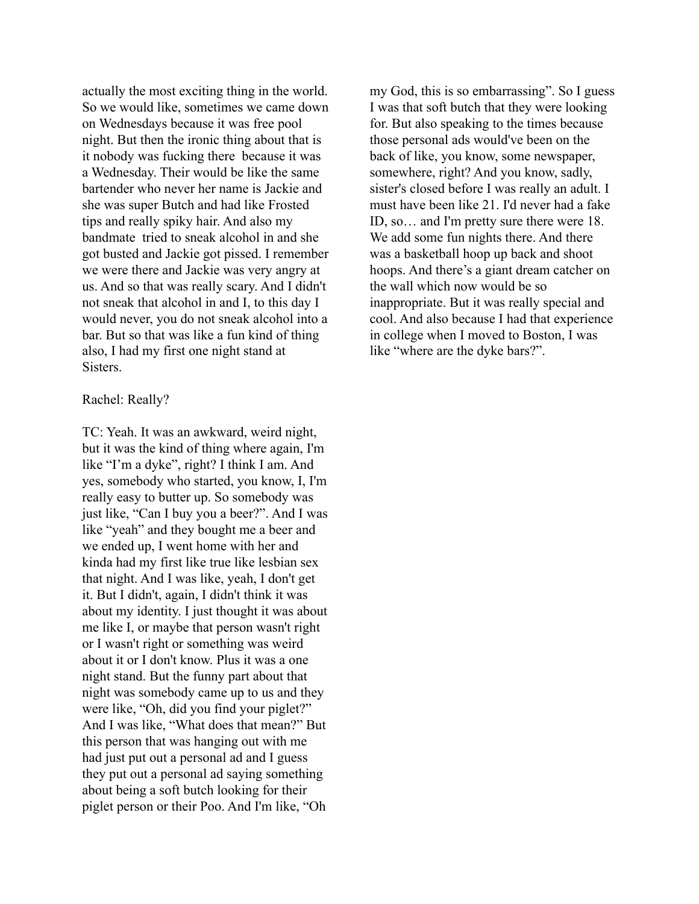actually the most exciting thing in the world. So we would like, sometimes we came down on Wednesdays because it was free pool night. But then the ironic thing about that is it nobody was fucking there because it was a Wednesday. Their would be like the same bartender who never her name is Jackie and she was super Butch and had like Frosted tips and really spiky hair. And also my bandmate tried to sneak alcohol in and she got busted and Jackie got pissed. I remember we were there and Jackie was very angry at us. And so that was really scary. And I didn't not sneak that alcohol in and I, to this day I would never, you do not sneak alcohol into a bar. But so that was like a fun kind of thing also, I had my first one night stand at Sisters.

## Rachel: Really?

TC: Yeah. It was an awkward, weird night, but it was the kind of thing where again, I'm like "I'm a dyke", right? I think I am. And yes, somebody who started, you know, I, I'm really easy to butter up. So somebody was just like, "Can I buy you a beer?". And I was like "yeah" and they bought me a beer and we ended up, I went home with her and kinda had my first like true like lesbian sex that night. And I was like, yeah, I don't get it. But I didn't, again, I didn't think it was about my identity. I just thought it was about me like I, or maybe that person wasn't right or I wasn't right or something was weird about it or I don't know. Plus it was a one night stand. But the funny part about that night was somebody came up to us and they were like, "Oh, did you find your piglet?" And I was like, "What does that mean?" But this person that was hanging out with me had just put out a personal ad and I guess they put out a personal ad saying something about being a soft butch looking for their piglet person or their Poo. And I'm like, "Oh

my God, this is so embarrassing". So I guess I was that soft butch that they were looking for. But also speaking to the times because those personal ads would've been on the back of like, you know, some newspaper, somewhere, right? And you know, sadly, sister's closed before I was really an adult. I must have been like 21. I'd never had a fake ID, so… and I'm pretty sure there were 18. We add some fun nights there. And there was a basketball hoop up back and shoot hoops. And there's a giant dream catcher on the wall which now would be so inappropriate. But it was really special and cool. And also because I had that experience in college when I moved to Boston, I was like "where are the dyke bars?".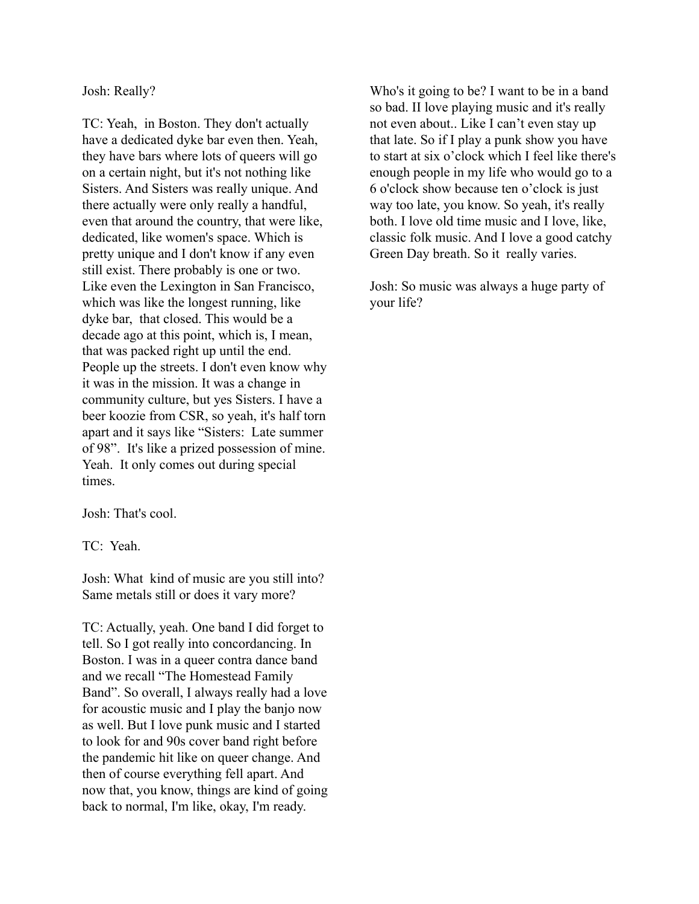Josh: Really?

TC: Yeah, in Boston. They don't actually have a dedicated dyke bar even then. Yeah, they have bars where lots of queers will go on a certain night, but it's not nothing like Sisters. And Sisters was really unique. And there actually were only really a handful, even that around the country, that were like, dedicated, like women's space. Which is pretty unique and I don't know if any even still exist. There probably is one or two. Like even the Lexington in San Francisco, which was like the longest running, like dyke bar, that closed. This would be a decade ago at this point, which is, I mean, that was packed right up until the end. People up the streets. I don't even know why it was in the mission. It was a change in community culture, but yes Sisters. I have a beer koozie from CSR, so yeah, it's half torn apart and it says like "Sisters: Late summer of 98". It's like a prized possession of mine. Yeah. It only comes out during special times.

Josh: That's cool.

TC: Yeah.

Josh: What kind of music are you still into? Same metals still or does it vary more?

TC: Actually, yeah. One band I did forget to tell. So I got really into concordancing. In Boston. I was in a queer contra dance band and we recall "The Homestead Family Band". So overall, I always really had a love for acoustic music and I play the banjo now as well. But I love punk music and I started to look for and 90s cover band right before the pandemic hit like on queer change. And then of course everything fell apart. And now that, you know, things are kind of going back to normal, I'm like, okay, I'm ready.

Who's it going to be? I want to be in a band so bad. II love playing music and it's really not even about.. Like I can't even stay up that late. So if I play a punk show you have to start at six o'clock which I feel like there's enough people in my life who would go to a 6 o'clock show because ten o'clock is just way too late, you know. So yeah, it's really both. I love old time music and I love, like, classic folk music. And I love a good catchy Green Day breath. So it really varies.

Josh: So music was always a huge party of your life?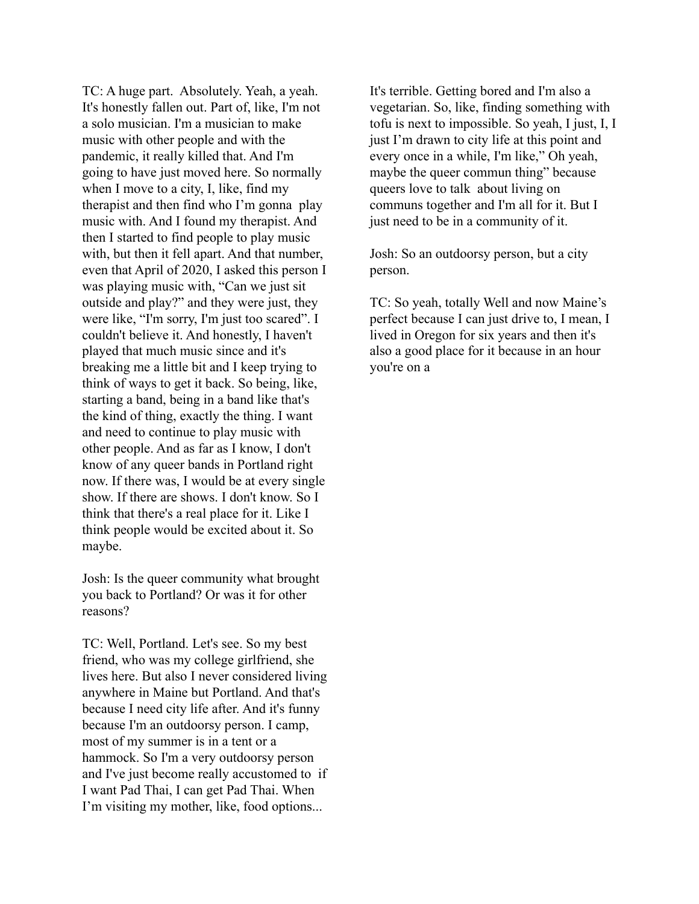TC: A huge part. Absolutely. Yeah, a yeah. It's honestly fallen out. Part of, like, I'm not a solo musician. I'm a musician to make music with other people and with the pandemic, it really killed that. And I'm going to have just moved here. So normally when I move to a city, I, like, find my therapist and then find who I'm gonna play music with. And I found my therapist. And then I started to find people to play music with, but then it fell apart. And that number, even that April of 2020, I asked this person I was playing music with, "Can we just sit outside and play?" and they were just, they were like, "I'm sorry, I'm just too scared". I couldn't believe it. And honestly, I haven't played that much music since and it's breaking me a little bit and I keep trying to think of ways to get it back. So being, like, starting a band, being in a band like that's the kind of thing, exactly the thing. I want and need to continue to play music with other people. And as far as I know, I don't know of any queer bands in Portland right now. If there was, I would be at every single show. If there are shows. I don't know. So I think that there's a real place for it. Like I think people would be excited about it. So maybe.

Josh: Is the queer community what brought you back to Portland? Or was it for other reasons?

TC: Well, Portland. Let's see. So my best friend, who was my college girlfriend, she lives here. But also I never considered living anywhere in Maine but Portland. And that's because I need city life after. And it's funny because I'm an outdoorsy person. I camp, most of my summer is in a tent or a hammock. So I'm a very outdoorsy person and I've just become really accustomed to if I want Pad Thai, I can get Pad Thai. When I'm visiting my mother, like, food options...

It's terrible. Getting bored and I'm also a vegetarian. So, like, finding something with tofu is next to impossible. So yeah, I just, I, I just I'm drawn to city life at this point and every once in a while, I'm like," Oh yeah, maybe the queer commun thing" because queers love to talk about living on communs together and I'm all for it. But I just need to be in a community of it.

Josh: So an outdoorsy person, but a city person.

TC: So yeah, totally Well and now Maine's perfect because I can just drive to, I mean, I lived in Oregon for six years and then it's also a good place for it because in an hour you're on a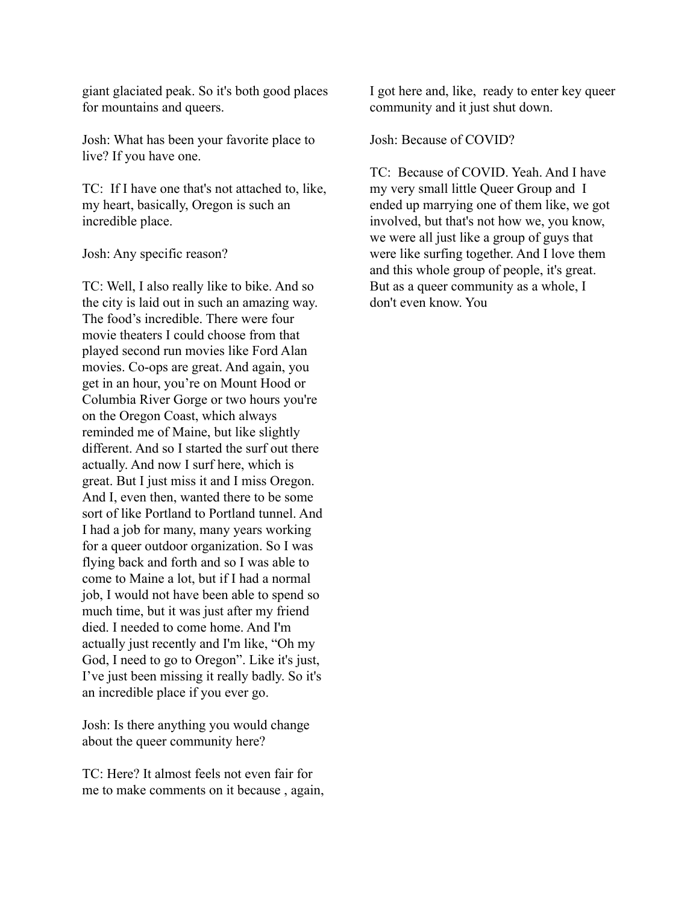giant glaciated peak. So it's both good places for mountains and queers.

Josh: What has been your favorite place to live? If you have one.

TC: If I have one that's not attached to, like, my heart, basically, Oregon is such an incredible place.

Josh: Any specific reason?

TC: Well, I also really like to bike. And so the city is laid out in such an amazing way. The food's incredible. There were four movie theaters I could choose from that played second run movies like Ford Alan movies. Co-ops are great. And again, you get in an hour, you're on Mount Hood or Columbia River Gorge or two hours you're on the Oregon Coast, which always reminded me of Maine, but like slightly different. And so I started the surf out there actually. And now I surf here, which is great. But I just miss it and I miss Oregon. And I, even then, wanted there to be some sort of like Portland to Portland tunnel. And I had a job for many, many years working for a queer outdoor organization. So I was flying back and forth and so I was able to come to Maine a lot, but if I had a normal job, I would not have been able to spend so much time, but it was just after my friend died. I needed to come home. And I'm actually just recently and I'm like, "Oh my God, I need to go to Oregon". Like it's just, I've just been missing it really badly. So it's an incredible place if you ever go.

Josh: Is there anything you would change about the queer community here?

TC: Here? It almost feels not even fair for me to make comments on it because , again,

I got here and, like, ready to enter key queer community and it just shut down.

Josh: Because of COVID?

TC: Because of COVID. Yeah. And I have my very small little Queer Group and I ended up marrying one of them like, we got involved, but that's not how we, you know, we were all just like a group of guys that were like surfing together. And I love them and this whole group of people, it's great. But as a queer community as a whole, I don't even know. You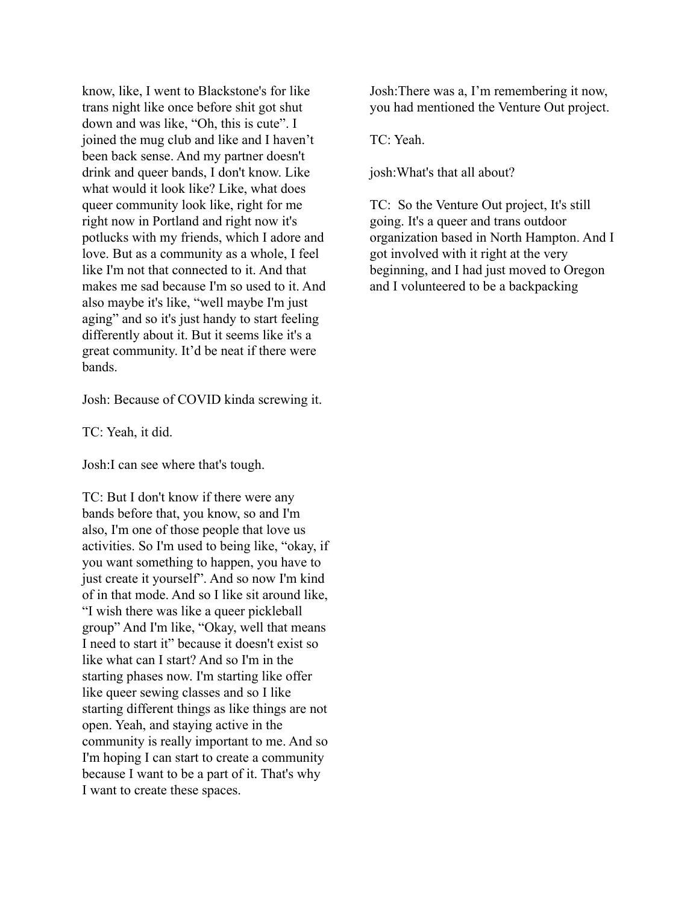know, like, I went to Blackstone's for like trans night like once before shit got shut down and was like, "Oh, this is cute". I joined the mug club and like and I haven't been back sense. And my partner doesn't drink and queer bands, I don't know. Like what would it look like? Like, what does queer community look like, right for me right now in Portland and right now it's potlucks with my friends, which I adore and love. But as a community as a whole, I feel like I'm not that connected to it. And that makes me sad because I'm so used to it. And also maybe it's like, "well maybe I'm just aging" and so it's just handy to start feeling differently about it. But it seems like it's a great community. It'd be neat if there were bands.

Josh: Because of COVID kinda screwing it.

TC: Yeah, it did.

Josh:I can see where that's tough.

TC: But I don't know if there were any bands before that, you know, so and I'm also, I'm one of those people that love us activities. So I'm used to being like, "okay, if you want something to happen, you have to just create it yourself". And so now I'm kind of in that mode. And so I like sit around like, "I wish there was like a queer pickleball group" And I'm like, "Okay, well that means I need to start it" because it doesn't exist so like what can I start? And so I'm in the starting phases now. I'm starting like offer like queer sewing classes and so I like starting different things as like things are not open. Yeah, and staying active in the community is really important to me. And so I'm hoping I can start to create a community because I want to be a part of it. That's why I want to create these spaces.

Josh:There was a, I'm remembering it now, you had mentioned the Venture Out project.

TC: Yeah.

josh:What's that all about?

TC: So the Venture Out project, It's still going. It's a queer and trans outdoor organization based in North Hampton. And I got involved with it right at the very beginning, and I had just moved to Oregon and I volunteered to be a backpacking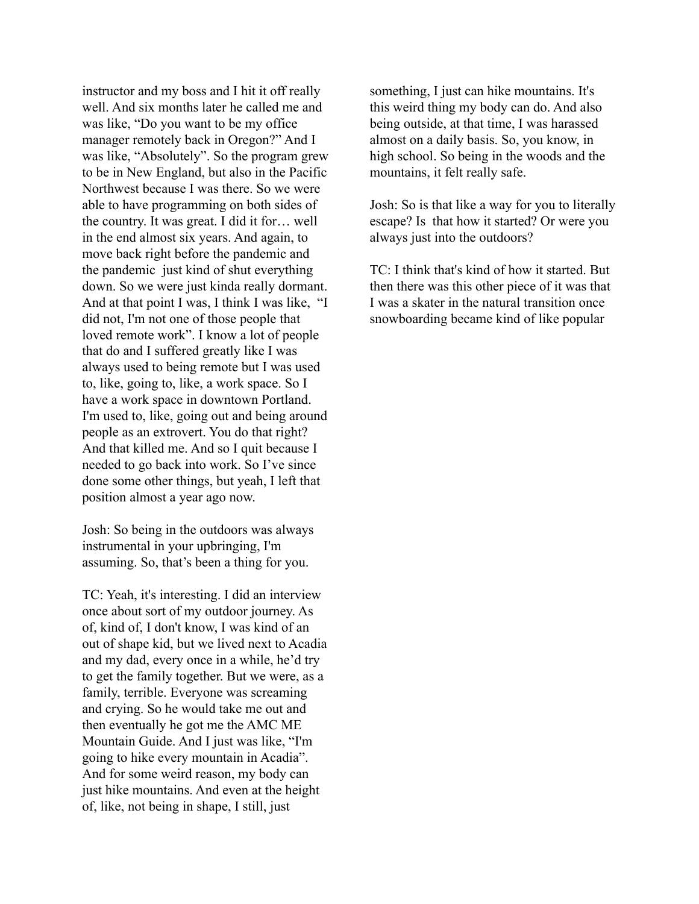instructor and my boss and I hit it off really well. And six months later he called me and was like, "Do you want to be my office manager remotely back in Oregon?" And I was like, "Absolutely". So the program grew to be in New England, but also in the Pacific Northwest because I was there. So we were able to have programming on both sides of the country. It was great. I did it for… well in the end almost six years. And again, to move back right before the pandemic and the pandemic just kind of shut everything down. So we were just kinda really dormant. And at that point I was, I think I was like, "I did not, I'm not one of those people that loved remote work". I know a lot of people that do and I suffered greatly like I was always used to being remote but I was used to, like, going to, like, a work space. So I have a work space in downtown Portland. I'm used to, like, going out and being around people as an extrovert. You do that right? And that killed me. And so I quit because I needed to go back into work. So I've since done some other things, but yeah, I left that position almost a year ago now.

Josh: So being in the outdoors was always instrumental in your upbringing, I'm assuming. So, that's been a thing for you.

TC: Yeah, it's interesting. I did an interview once about sort of my outdoor journey. As of, kind of, I don't know, I was kind of an out of shape kid, but we lived next to Acadia and my dad, every once in a while, he'd try to get the family together. But we were, as a family, terrible. Everyone was screaming and crying. So he would take me out and then eventually he got me the AMC ME Mountain Guide. And I just was like, "I'm going to hike every mountain in Acadia". And for some weird reason, my body can just hike mountains. And even at the height of, like, not being in shape, I still, just

something, I just can hike mountains. It's this weird thing my body can do. And also being outside, at that time, I was harassed almost on a daily basis. So, you know, in high school. So being in the woods and the mountains, it felt really safe.

Josh: So is that like a way for you to literally escape? Is that how it started? Or were you always just into the outdoors?

TC: I think that's kind of how it started. But then there was this other piece of it was that I was a skater in the natural transition once snowboarding became kind of like popular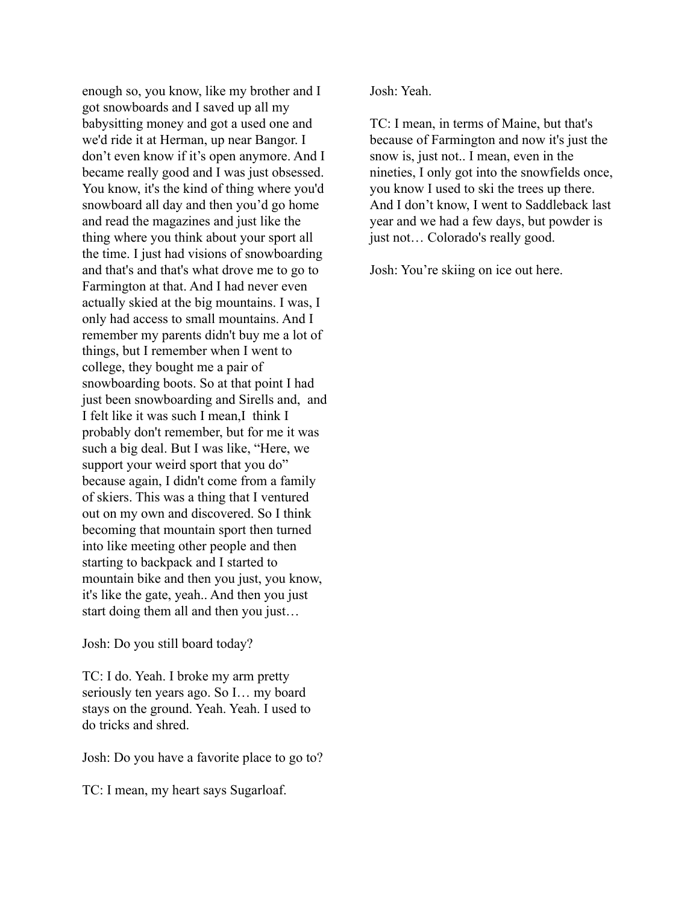enough so, you know, like my brother and I got snowboards and I saved up all my babysitting money and got a used one and we'd ride it at Herman, up near Bangor. I don't even know if it's open anymore. And I became really good and I was just obsessed. You know, it's the kind of thing where you'd snowboard all day and then you'd go home and read the magazines and just like the thing where you think about your sport all the time. I just had visions of snowboarding and that's and that's what drove me to go to Farmington at that. And I had never even actually skied at the big mountains. I was, I only had access to small mountains. And I remember my parents didn't buy me a lot of things, but I remember when I went to college, they bought me a pair of snowboarding boots. So at that point I had just been snowboarding and Sirells and, and I felt like it was such I mean,I think I probably don't remember, but for me it was such a big deal. But I was like, "Here, we support your weird sport that you do" because again, I didn't come from a family of skiers. This was a thing that I ventured out on my own and discovered. So I think becoming that mountain sport then turned into like meeting other people and then starting to backpack and I started to mountain bike and then you just, you know, it's like the gate, yeah.. And then you just start doing them all and then you just…

Josh: Do you still board today?

TC: I do. Yeah. I broke my arm pretty seriously ten years ago. So I… my board stays on the ground. Yeah. Yeah. I used to do tricks and shred.

Josh: Do you have a favorite place to go to?

TC: I mean, my heart says Sugarloaf.

Josh: Yeah.

TC: I mean, in terms of Maine, but that's because of Farmington and now it's just the snow is, just not.. I mean, even in the nineties, I only got into the snowfields once, you know I used to ski the trees up there. And I don't know, I went to Saddleback last year and we had a few days, but powder is just not… Colorado's really good.

Josh: You're skiing on ice out here.